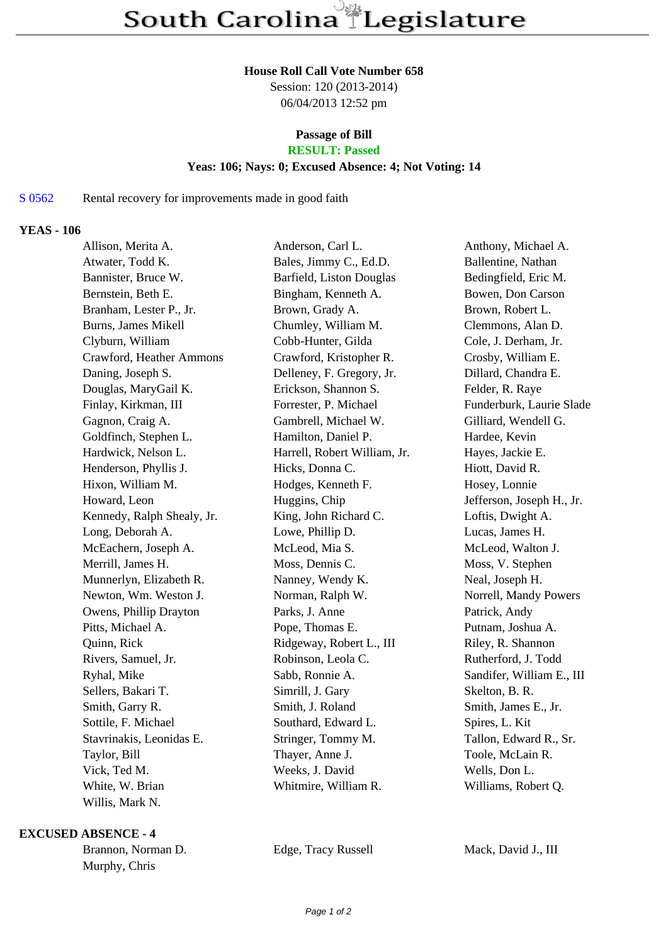#### **House Roll Call Vote Number 658**

Session: 120 (2013-2014) 06/04/2013 12:52 pm

## **Passage of Bill**

# **RESULT: Passed**

#### **Yeas: 106; Nays: 0; Excused Absence: 4; Not Voting: 14**

#### S 0562 Rental recovery for improvements made in good faith

#### **YEAS - 106**

| Allison, Merita A.         | Anderson, Carl L.            | Anthony, Michael A.       |
|----------------------------|------------------------------|---------------------------|
| Atwater, Todd K.           | Bales, Jimmy C., Ed.D.       | Ballentine, Nathan        |
| Bannister, Bruce W.        | Barfield, Liston Douglas     | Bedingfield, Eric M.      |
| Bernstein, Beth E.         | Bingham, Kenneth A.          | Bowen, Don Carson         |
| Branham, Lester P., Jr.    | Brown, Grady A.              | Brown, Robert L.          |
| Burns, James Mikell        | Chumley, William M.          | Clemmons, Alan D.         |
| Clyburn, William           | Cobb-Hunter, Gilda           | Cole, J. Derham, Jr.      |
| Crawford, Heather Ammons   | Crawford, Kristopher R.      | Crosby, William E.        |
| Daning, Joseph S.          | Delleney, F. Gregory, Jr.    | Dillard, Chandra E.       |
| Douglas, MaryGail K.       | Erickson, Shannon S.         | Felder, R. Raye           |
| Finlay, Kirkman, III       | Forrester, P. Michael        | Funderburk, Laurie Slade  |
| Gagnon, Craig A.           | Gambrell, Michael W.         | Gilliard, Wendell G.      |
| Goldfinch, Stephen L.      | Hamilton, Daniel P.          | Hardee, Kevin             |
| Hardwick, Nelson L.        | Harrell, Robert William, Jr. | Hayes, Jackie E.          |
| Henderson, Phyllis J.      | Hicks, Donna C.              | Hiott, David R.           |
| Hixon, William M.          | Hodges, Kenneth F.           | Hosey, Lonnie             |
| Howard, Leon               | Huggins, Chip                | Jefferson, Joseph H., Jr. |
| Kennedy, Ralph Shealy, Jr. | King, John Richard C.        | Loftis, Dwight A.         |
| Long, Deborah A.           | Lowe, Phillip D.             | Lucas, James H.           |
| McEachern, Joseph A.       | McLeod, Mia S.               | McLeod, Walton J.         |
| Merrill, James H.          | Moss, Dennis C.              | Moss, V. Stephen          |
| Munnerlyn, Elizabeth R.    | Nanney, Wendy K.             | Neal, Joseph H.           |
| Newton, Wm. Weston J.      | Norman, Ralph W.             | Norrell, Mandy Powers     |
| Owens, Phillip Drayton     | Parks, J. Anne               | Patrick, Andy             |
| Pitts, Michael A.          | Pope, Thomas E.              | Putnam, Joshua A.         |
| Quinn, Rick                | Ridgeway, Robert L., III     | Riley, R. Shannon         |
| Rivers, Samuel, Jr.        | Robinson, Leola C.           | Rutherford, J. Todd       |
| Ryhal, Mike                | Sabb, Ronnie A.              | Sandifer, William E., III |
| Sellers, Bakari T.         | Simrill, J. Gary             | Skelton, B. R.            |
| Smith, Garry R.            | Smith, J. Roland             | Smith, James E., Jr.      |
| Sottile, F. Michael        | Southard, Edward L.          | Spires, L. Kit            |
| Stavrinakis, Leonidas E.   | Stringer, Tommy M.           | Tallon, Edward R., Sr.    |
| Taylor, Bill               | Thayer, Anne J.              | Toole, McLain R.          |
| Vick, Ted M.               | Weeks, J. David              | Wells, Don L.             |
| White, W. Brian            | Whitmire, William R.         | Williams, Robert Q.       |
| Willis, Mark N.            |                              |                           |

### **EXCUSED ABSENCE - 4**

Brannon, Norman D. Edge, Tracy Russell Mack, David J., III Murphy, Chris